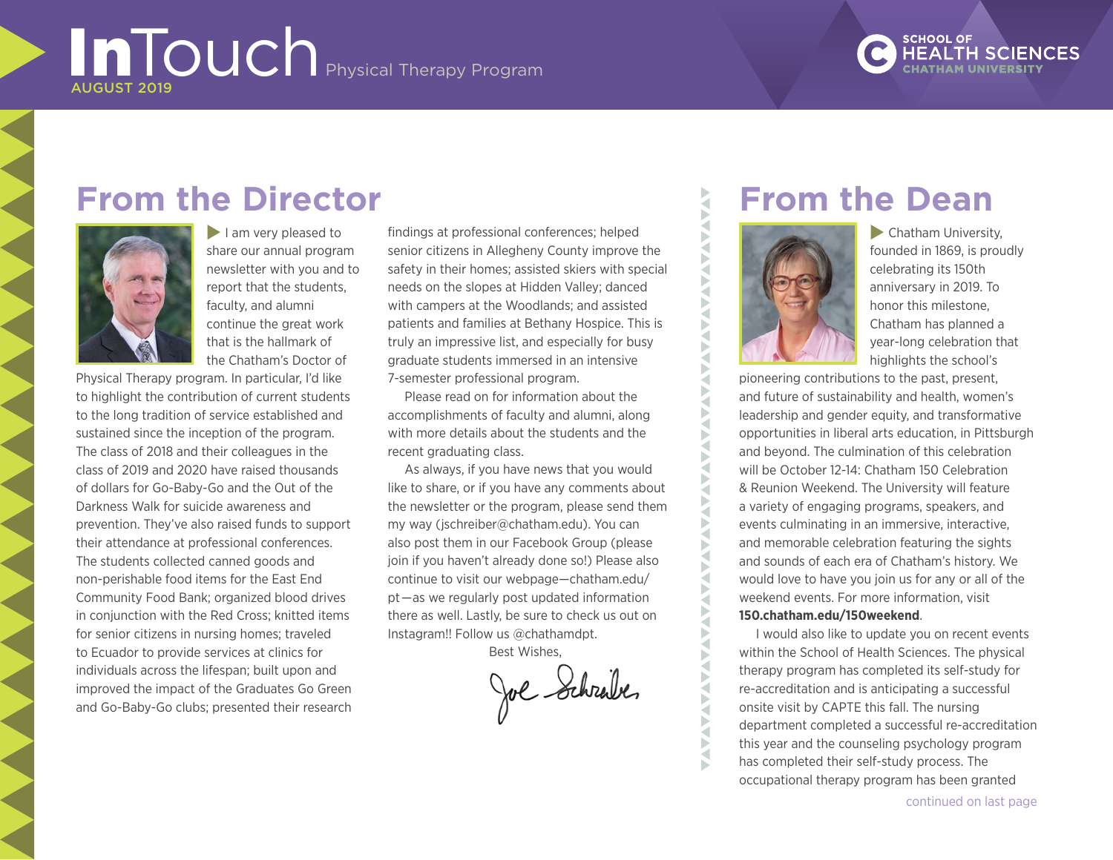### **SCHOOL OF HEALTH SCIENCES**

## **From the Director**



 $\blacksquare$  I am very pleased to share our annual program newsletter with you and to report that the students, faculty, and alumni continue the great work that is the hallmark of the Chatham's Doctor of

Physical Therapy program. In particular, I'd like to highlight the contribution of current students to the long tradition of service established and sustained since the inception of the program. The class of 2018 and their colleagues in the class of 2019 and 2020 have raised thousands of dollars for Go-Baby-Go and the Out of the Darkness Walk for suicide awareness and prevention. They've also raised funds to support their attendance at professional conferences. The students collected canned goods and non-perishable food items for the East End Community Food Bank; organized blood drives in conjunction with the Red Cross; knitted items for senior citizens in nursing homes; traveled to Ecuador to provide services at clinics for individuals across the lifespan; built upon and improved the impact of the Graduates Go Green and Go-Baby-Go clubs; presented their research

findings at professional conferences; helped senior citizens in Allegheny County improve the safety in their homes; assisted skiers with special needs on the slopes at Hidden Valley; danced with campers at the Woodlands; and assisted patients and families at Bethany Hospice. This is truly an impressive list, and especially for busy graduate students immersed in an intensive 7-semester professional program.

Please read on for information about the accomplishments of faculty and alumni, along with more details about the students and the recent graduating class.

As always, if you have news that you would like to share, or if you have any comments about the newsletter or the program, please send them my way (jschreiber@chatham.edu). You can also post them in our Facebook Group (please join if you haven't already done so!) Please also continue to visit our webpage[—chatham.edu/](http://www.chatham.edu/pt/) [pt—](http://www.chatham.edu/pt/)as we regularly post updated information there as well. Lastly, be sure to check us out on Instagram!! Follow us @chathamdpt.

Best Wishes,

Joe Schrabe

# **From the Dean**



VAV ₹ Б ₹ ь

> ₹  $\blacktriangleleft$

₹ ◀ Б ∢ ь ◀ ь ₹ ₹

Б Þ ₹ Б ₹

₹ Š b ₹ Б

 $\blacktriangleright$  Chatham University, founded in 1869, is proudly celebrating its 150th anniversary in 2019. To honor this milestone, Chatham has planned a year-long celebration that highlights the school's

pioneering contributions to the past, present, and future of sustainability and health, women's leadership and gender equity, and transformative opportunities in liberal arts education, in Pittsburgh and beyond. The culmination of this celebration will be October 12-14: Chatham 150 Celebration & Reunion Weekend. The University will feature a variety of engaging programs, speakers, and events culminating in an immersive, interactive, and memorable celebration featuring the sights and sounds of each era of Chatham's history. We would love to have you join us for any or all of the weekend events. For more information, visit **[150.chatham.edu/150weekend](https://www.chatham.edu/alumniweekend/)**.

I would also like to update you on recent events within the School of Health Sciences. The physical therapy program has completed its self-study for re-accreditation and is anticipating a successful onsite visit by CAPTE this fall. The nursing department completed a successful re-accreditation this year and the counseling psychology program has completed their self-study process. The occupational therapy program has been granted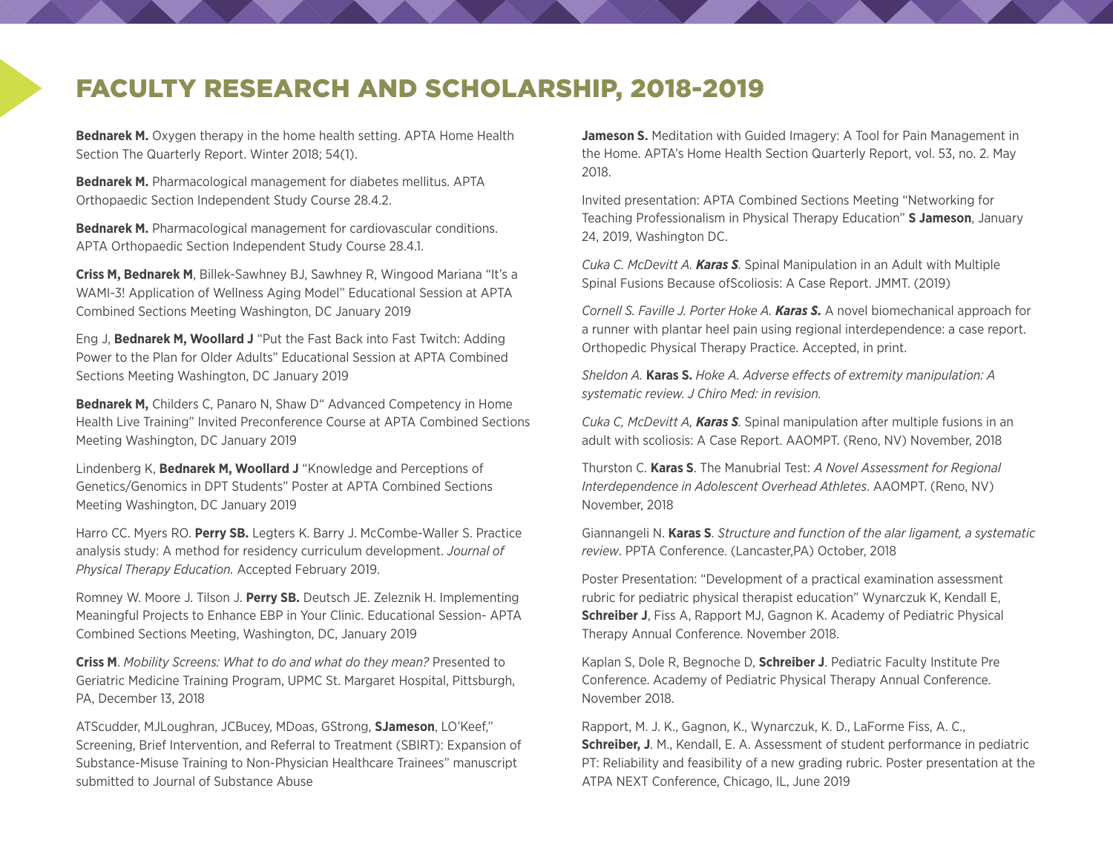### FACULTY RESEARCH AND SCHOLARSHIP, 2018-2019

**Bednarek M.** Oxygen therapy in the home health setting. APTA Home Health Section The Quarterly Report. Winter 2018; 54(1).

**Bednarek M.** Pharmacological management for diabetes mellitus. APTA Orthopaedic Section Independent Study Course 28.4.2.

**Bednarek M.** Pharmacological management for cardiovascular conditions. APTA Orthopaedic Section Independent Study Course 28.4.1.

**Criss M, Bednarek M**, Billek-Sawhney BJ, Sawhney R, Wingood Mariana "It's a WAMI-3! Application of Wellness Aging Model" Educational Session at APTA Combined Sections Meeting Washington, DC January 2019

Eng J, **Bednarek M, Woollard J** "Put the Fast Back into Fast Twitch: Adding Power to the Plan for Older Adults" Educational Session at APTA Combined Sections Meeting Washington, DC January 2019

**Bednarek M,** Childers C, Panaro N, Shaw D" Advanced Competency in Home Health Live Training" Invited Preconference Course at APTA Combined Sections Meeting Washington, DC January 2019

Lindenberg K, **Bednarek M, Woollard J** "Knowledge and Perceptions of Genetics/Genomics in DPT Students" Poster at APTA Combined Sections Meeting Washington, DC January 2019

Harro CC. Myers RO. **Perry SB.** Legters K. Barry J. McCombe-Waller S. Practice analysis study: A method for residency curriculum development. *Journal of Physical Therapy Education.* Accepted February 2019.

Romney W. Moore J. Tilson J. **Perry SB.** Deutsch JE. Zeleznik H. Implementing Meaningful Projects to Enhance EBP in Your Clinic. Educational Session- APTA Combined Sections Meeting, Washington, DC, January 2019

**Criss M**. *Mobility Screens: What to do and what do they mean?* Presented to Geriatric Medicine Training Program, UPMC St. Margaret Hospital, Pittsburgh, PA, December 13, 2018

ATScudder, MJLoughran, JCBucey, MDoas, GStrong, **SJameson**, LO'Keef," Screening, Brief Intervention, and Referral to Treatment (SBIRT): Expansion of Substance-Misuse Training to Non-Physician Healthcare Trainees" manuscript submitted to Journal of Substance Abuse

**Jameson S.** Meditation with Guided Imagery: A Tool for Pain Management in the Home. APTA's Home Health Section Quarterly Report, vol. 53, no. 2. May 2018.

Invited presentation: APTA Combined Sections Meeting "Networking for Teaching Professionalism in Physical Therapy Education" **S Jameson**, January 24, 2019, Washington DC.

*Cuka C. McDevitt A. Karas S.* Spinal Manipulation in an Adult with Multiple Spinal Fusions Because ofScoliosis: A Case Report. JMMT. (2019)

*Cornell S. Faville J. Porter Hoke A. Karas S.* A novel biomechanical approach for a runner with plantar heel pain using regional interdependence: a case report. Orthopedic Physical Therapy Practice. Accepted, in print.

*Sheldon A.* **Karas S.** *Hoke A. Adverse effects of extremity manipulation: A systematic review. J Chiro Med: in revision.*

*Cuka C, McDevitt A, Karas S.* Spinal manipulation after multiple fusions in an adult with scoliosis: A Case Report. AAOMPT. (Reno, NV) November, 2018

Thurston C. **Karas S**. The Manubrial Test: *A Novel Assessment for Regional Interdependence in Adolescent Overhead Athletes*. AAOMPT. (Reno, NV) November, 2018

Giannangeli N. **Karas S**. *Structure and function of the alar ligament, a systematic review*. PPTA Conference. (Lancaster,PA) October, 2018

Poster Presentation: "Development of a practical examination assessment rubric for pediatric physical therapist education" Wynarczuk K, Kendall E, **Schreiber J**, Fiss A, Rapport MJ, Gagnon K. Academy of Pediatric Physical Therapy Annual Conference. November 2018.

Kaplan S, Dole R, Begnoche D, **Schreiber J**. Pediatric Faculty Institute Pre Conference. Academy of Pediatric Physical Therapy Annual Conference. November 2018.

Rapport, M. J. K., Gagnon, K., Wynarczuk, K. D., LaForme Fiss, A. C., **Schreiber, J**. M., Kendall, E. A. Assessment of student performance in pediatric PT: Reliability and feasibility of a new grading rubric. Poster presentation at the ATPA NEXT Conference, Chicago, IL, June 2019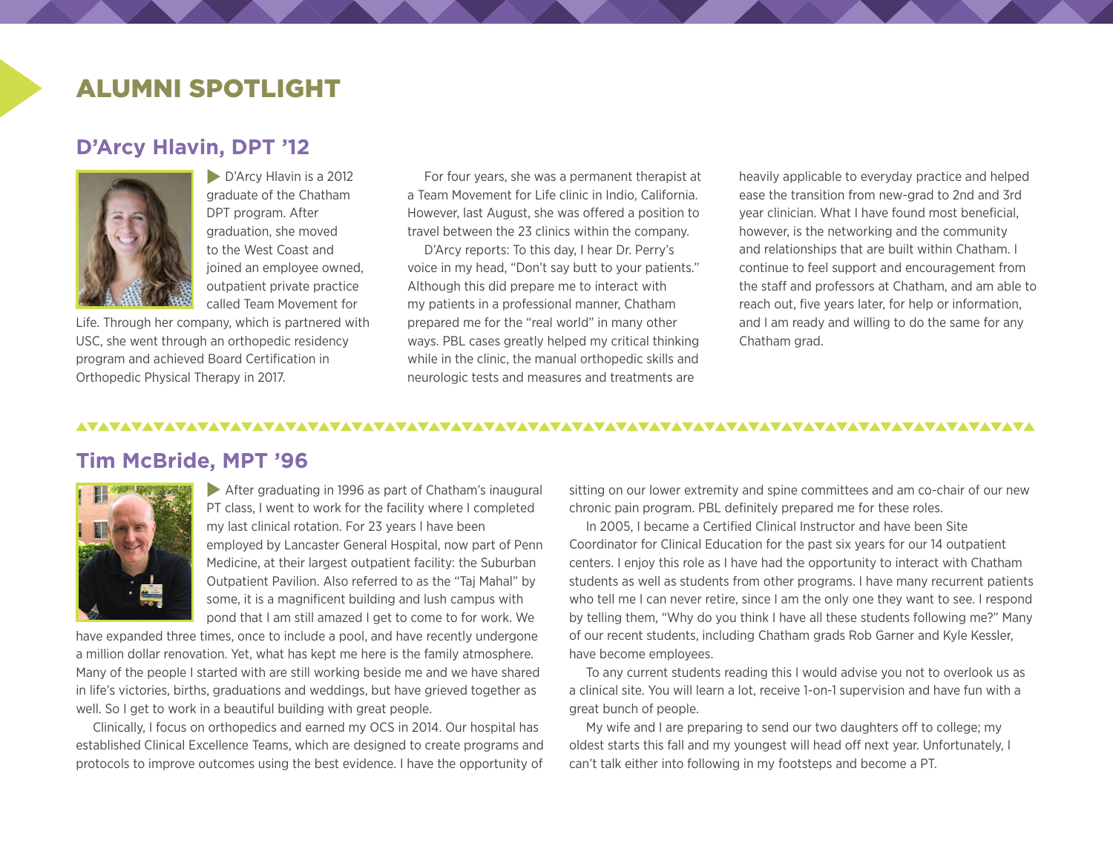### ALUMNI SPOTLIGHT

#### **D'Arcy Hlavin, DPT '12**



**D'Arcy Hlavin is a 2012** graduate of the Chatham DPT program. After graduation, she moved to the West Coast and joined an employee owned, outpatient private practice called Team Movement for

Life. Through her company, which is partnered with USC, she went through an orthopedic residency program and achieved Board Certification in Orthopedic Physical Therapy in 2017.

For four years, she was a permanent therapist at a Team Movement for Life clinic in Indio, California. However, last August, she was offered a position to travel between the 23 clinics within the company.

D'Arcy reports: To this day, I hear Dr. Perry's voice in my head, "Don't say butt to your patients." Although this did prepare me to interact with my patients in a professional manner, Chatham prepared me for the "real world" in many other ways. PBL cases greatly helped my critical thinking while in the clinic, the manual orthopedic skills and neurologic tests and measures and treatments are

heavily applicable to everyday practice and helped ease the transition from new-grad to 2nd and 3rd year clinician. What I have found most beneficial, however, is the networking and the community and relationships that are built within Chatham. I continue to feel support and encouragement from the staff and professors at Chatham, and am able to reach out, five years later, for help or information, and I am ready and willing to do the same for any Chatham grad.

#### 

#### **Tim McBride, MPT '96**



After graduating in 1996 as part of Chatham's inaugural PT class, I went to work for the facility where I completed my last clinical rotation. For 23 years I have been employed by Lancaster General Hospital, now part of Penn Medicine, at their largest outpatient facility: the Suburban Outpatient Pavilion. Also referred to as the "Taj Mahal" by some, it is a magnificent building and lush campus with pond that I am still amazed I get to come to for work. We

have expanded three times, once to include a pool, and have recently undergone a million dollar renovation. Yet, what has kept me here is the family atmosphere. Many of the people I started with are still working beside me and we have shared in life's victories, births, graduations and weddings, but have grieved together as well. So I get to work in a beautiful building with great people.

Clinically, I focus on orthopedics and earned my OCS in 2014. Our hospital has established Clinical Excellence Teams, which are designed to create programs and protocols to improve outcomes using the best evidence. I have the opportunity of sitting on our lower extremity and spine committees and am co-chair of our new chronic pain program. PBL definitely prepared me for these roles.

In 2005, I became a Certified Clinical Instructor and have been Site Coordinator for Clinical Education for the past six years for our 14 outpatient centers. I enjoy this role as I have had the opportunity to interact with Chatham students as well as students from other programs. I have many recurrent patients who tell me I can never retire, since I am the only one they want to see. I respond by telling them, "Why do you think I have all these students following me?" Many of our recent students, including Chatham grads Rob Garner and Kyle Kessler, have become employees.

To any current students reading this I would advise you not to overlook us as a clinical site. You will learn a lot, receive 1-on-1 supervision and have fun with a great bunch of people.

My wife and I are preparing to send our two daughters off to college; my oldest starts this fall and my youngest will head off next year. Unfortunately, I can't talk either into following in my footsteps and become a PT.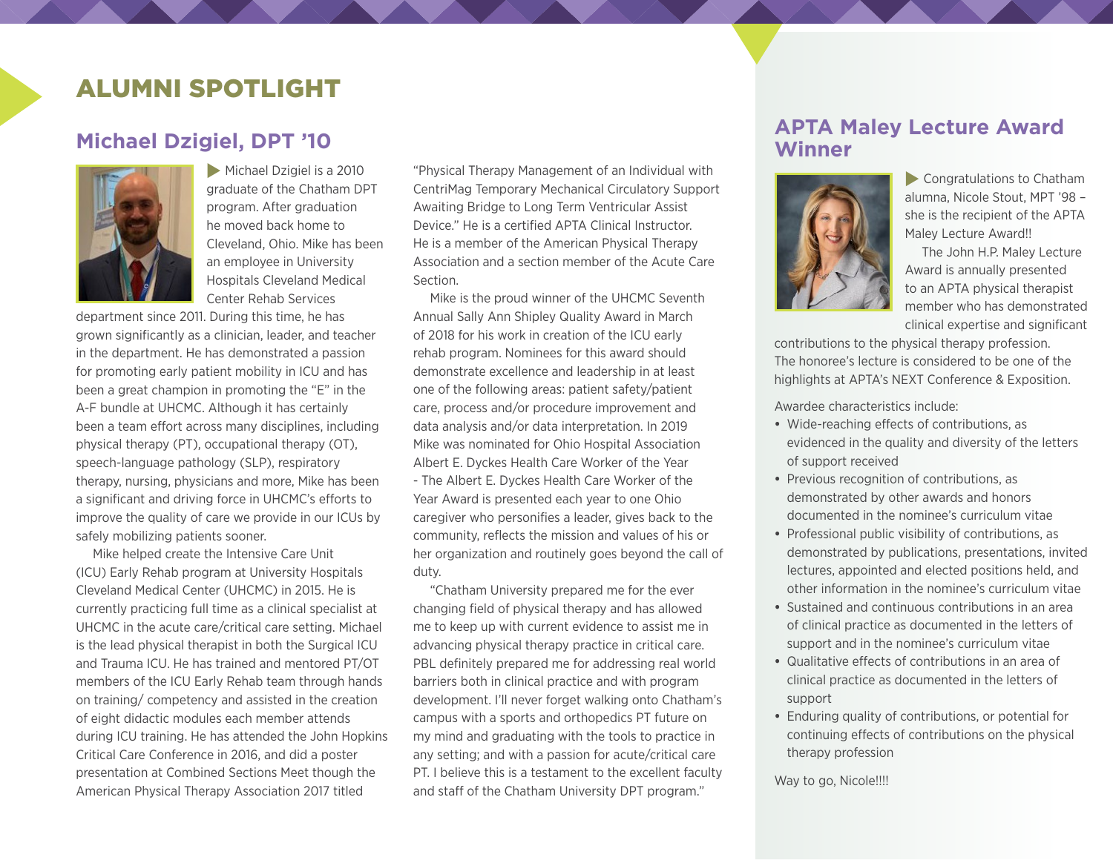### ALUMNI SPOTLIGHT

#### **Michael Dzigiel, DPT '10**



Michael Dzigiel is a 2010 graduate of the Chatham DPT program. After graduation he moved back home to Cleveland, Ohio. Mike has been an employee in University Hospitals Cleveland Medical Center Rehab Services

department since 2011. During this time, he has grown significantly as a clinician, leader, and teacher in the department. He has demonstrated a passion for promoting early patient mobility in ICU and has been a great champion in promoting the "E" in the A-F bundle at UHCMC. Although it has certainly been a team effort across many disciplines, including physical therapy (PT), occupational therapy (OT), speech-language pathology (SLP), respiratory therapy, nursing, physicians and more, Mike has been a significant and driving force in UHCMC's efforts to improve the quality of care we provide in our ICUs by safely mobilizing patients sooner.

Mike helped create the Intensive Care Unit (ICU) Early Rehab program at University Hospitals Cleveland Medical Center (UHCMC) in 2015. He is currently practicing full time as a clinical specialist at UHCMC in the acute care/critical care setting. Michael is the lead physical therapist in both the Surgical ICU and Trauma ICU. He has trained and mentored PT/OT members of the ICU Early Rehab team through hands on training/ competency and assisted in the creation of eight didactic modules each member attends during ICU training. He has attended the John Hopkins Critical Care Conference in 2016, and did a poster presentation at Combined Sections Meet though the American Physical Therapy Association 2017 titled

"Physical Therapy Management of an Individual with CentriMag Temporary Mechanical Circulatory Support Awaiting Bridge to Long Term Ventricular Assist Device." He is a certified APTA Clinical Instructor. He is a member of the American Physical Therapy Association and a section member of the Acute Care Section.

Mike is the proud winner of the UHCMC Seventh Annual Sally Ann Shipley Quality Award in March of 2018 for his work in creation of the ICU early rehab program. Nominees for this award should demonstrate excellence and leadership in at least one of the following areas: patient safety/patient care, process and/or procedure improvement and data analysis and/or data interpretation. In 2019 Mike was nominated for Ohio Hospital Association Albert E. Dyckes Health Care Worker of the Year - The Albert E. Dyckes Health Care Worker of the Year Award is presented each year to one Ohio caregiver who personifies a leader, gives back to the community, reflects the mission and values of his or her organization and routinely goes beyond the call of duty.

"Chatham University prepared me for the ever changing field of physical therapy and has allowed me to keep up with current evidence to assist me in advancing physical therapy practice in critical care. PBL definitely prepared me for addressing real world barriers both in clinical practice and with program development. I'll never forget walking onto Chatham's campus with a sports and orthopedics PT future on my mind and graduating with the tools to practice in any setting; and with a passion for acute/critical care PT. I believe this is a testament to the excellent faculty and staff of the Chatham University DPT program."

#### **APTA Maley Lecture Award Winner**



 $\blacktriangleright$  Congratulations to Chatham alumna, Nicole Stout, MPT '98 – she is the recipient of the APTA Maley Lecture Award!!

The John H.P. Maley Lecture Award is annually presented to an APTA physical therapist member who has demonstrated clinical expertise and significant

contributions to the physical therapy profession. The honoree's lecture is considered to be one of the highlights at APTA's NEXT Conference & Exposition.

Awardee characteristics include:

- **•** Wide-reaching effects of contributions, as evidenced in the quality and diversity of the letters of support received
- **•** Previous recognition of contributions, as demonstrated by other awards and honors documented in the nominee's curriculum vitae
- **•** Professional public visibility of contributions, as demonstrated by publications, presentations, invited lectures, appointed and elected positions held, and other information in the nominee's curriculum vitae
- **•** Sustained and continuous contributions in an area of clinical practice as documented in the letters of support and in the nominee's curriculum vitae
- **•** Qualitative effects of contributions in an area of clinical practice as documented in the letters of support
- **•** Enduring quality of contributions, or potential for continuing effects of contributions on the physical therapy profession

Way to go, Nicole!!!!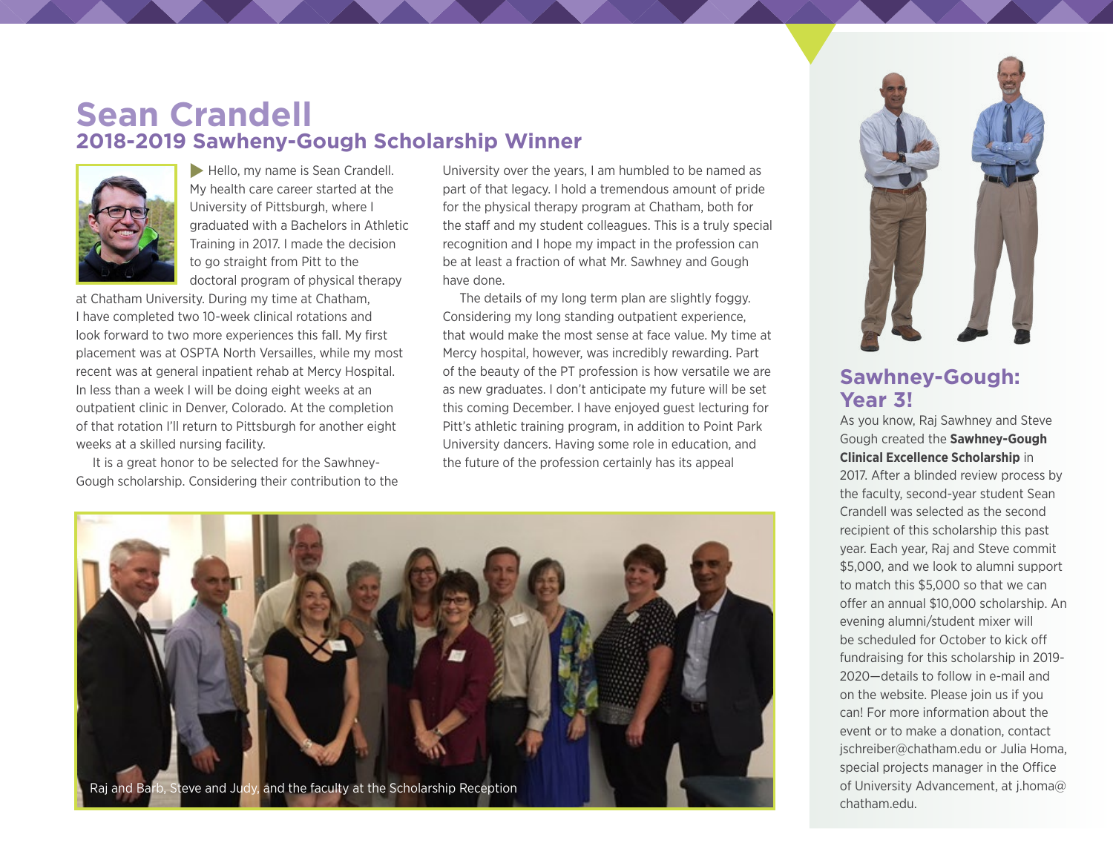

#### **Sawhney-Gough: Year 3!**

As you know, Raj Sawhney and Steve Gough created the **Sawhney-Gough Clinical Excellence Scholarship** in 2017. After a blinded review process by the faculty, second-year student Sean Crandell was selected as the second recipient of this scholarship this past year. Each year, Raj and Steve commit \$5,000, and we look to alumni support to match this \$5,000 so that we can offer an annual \$10,000 scholarship. An evening alumni/student mixer will be scheduled for October to kick off fundraising for this scholarship in 2019- 2020—details to follow in e-mail and on the website. Please join us if you can! For more information about the event or to make a donation, contact [jschreiber@chatham.edu](mailto:jschreiber@chatham.edu) or Julia Homa, special projects manager in the Office of University Advancement, at [j.homa@](mailto:j.homa@chatham.edu) [chatham.edu](mailto:j.homa@chatham.edu).

### **Sean Crandell 2018-2019 Sawheny-Gough Scholarship Winner**



 $\blacktriangleright$  Hello, my name is Sean Crandell. My health care career started at the University of Pittsburgh, where I graduated with a Bachelors in Athletic Training in 2017. I made the decision to go straight from Pitt to the doctoral program of physical therapy

at Chatham University. During my time at Chatham, I have completed two 10-week clinical rotations and look forward to two more experiences this fall. My first placement was at OSPTA North Versailles, while my most recent was at general inpatient rehab at Mercy Hospital. In less than a week I will be doing eight weeks at an outpatient clinic in Denver, Colorado. At the completion of that rotation I'll return to Pittsburgh for another eight weeks at a skilled nursing facility.

It is a great honor to be selected for the Sawhney-Gough scholarship. Considering their contribution to the University over the years, I am humbled to be named as part of that legacy. I hold a tremendous amount of pride for the physical therapy program at Chatham, both for the staff and my student colleagues. This is a truly special recognition and I hope my impact in the profession can be at least a fraction of what Mr. Sawhney and Gough have done.

The details of my long term plan are slightly foggy. Considering my long standing outpatient experience, that would make the most sense at face value. My time at Mercy hospital, however, was incredibly rewarding. Part of the beauty of the PT profession is how versatile we are as new graduates. I don't anticipate my future will be set this coming December. I have enjoyed guest lecturing for Pitt's athletic training program, in addition to Point Park University dancers. Having some role in education, and the future of the profession certainly has its appeal

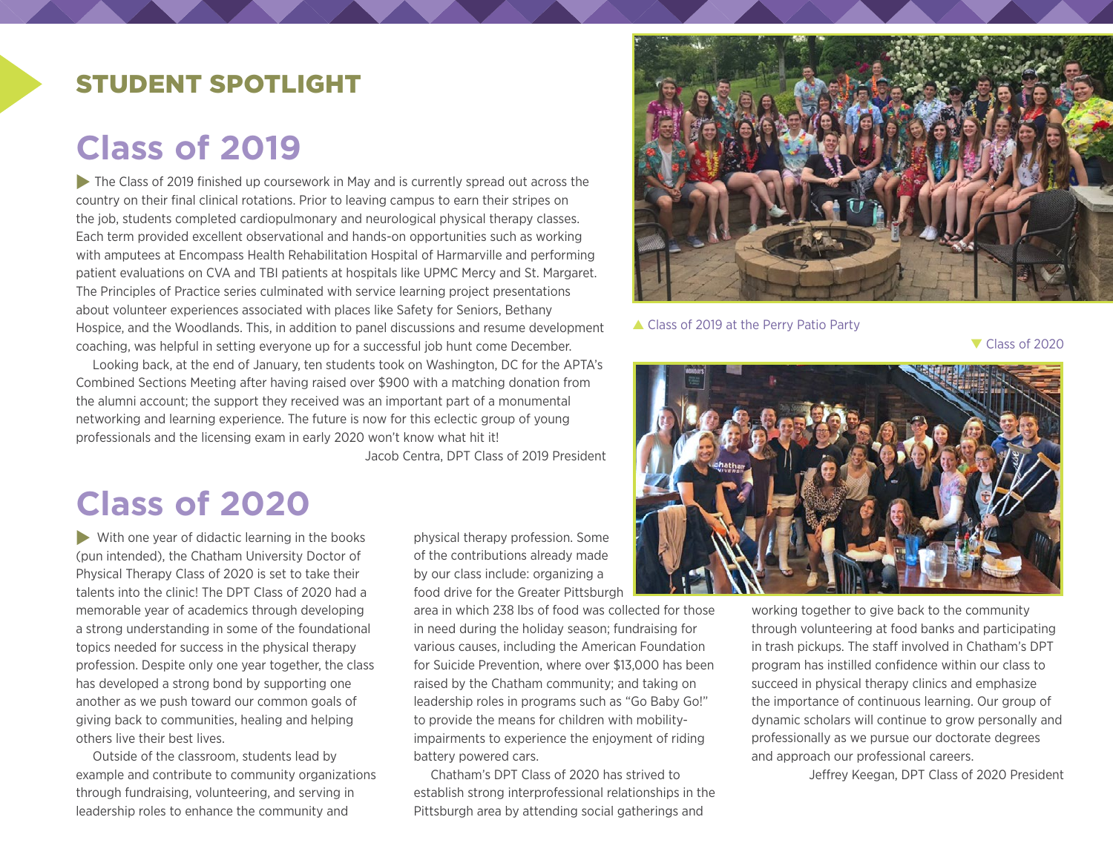### STUDENT SPOTLIGHT

# **Class of 2019**

 $\triangleright$  The Class of 2019 finished up coursework in May and is currently spread out across the country on their final clinical rotations. Prior to leaving campus to earn their stripes on the job, students completed cardiopulmonary and neurological physical therapy classes. Each term provided excellent observational and hands-on opportunities such as working with amputees at Encompass Health Rehabilitation Hospital of Harmarville and performing patient evaluations on CVA and TBI patients at hospitals like UPMC Mercy and St. Margaret. The Principles of Practice series culminated with service learning project presentations about volunteer experiences associated with places like Safety for Seniors, Bethany Hospice, and the Woodlands. This, in addition to panel discussions and resume development coaching, was helpful in setting everyone up for a successful job hunt come December.

Looking back, at the end of January, ten students took on Washington, DC for the APTA's Combined Sections Meeting after having raised over \$900 with a matching donation from the alumni account; the support they received was an important part of a monumental networking and learning experience. The future is now for this eclectic group of young professionals and the licensing exam in early 2020 won't know what hit it!

Jacob Centra, DPT Class of 2019 President

# **Class of 2020**

 $\blacktriangleright$  With one year of didactic learning in the books (pun intended), the Chatham University Doctor of Physical Therapy Class of 2020 is set to take their talents into the clinic! The DPT Class of 2020 had a memorable year of academics through developing a strong understanding in some of the foundational topics needed for success in the physical therapy profession. Despite only one year together, the class has developed a strong bond by supporting one another as we push toward our common goals of giving back to communities, healing and helping others live their best lives.

Outside of the classroom, students lead by example and contribute to community organizations through fundraising, volunteering, and serving in leadership roles to enhance the community and

physical therapy profession. Some of the contributions already made by our class include: organizing a food drive for the Greater Pittsburgh

area in which 238 lbs of food was collected for those in need during the holiday season; fundraising for various causes, including the American Foundation for Suicide Prevention, where over \$13,000 has been raised by the Chatham community; and taking on leadership roles in programs such as "Go Baby Go!" to provide the means for children with mobilityimpairments to experience the enjoyment of riding battery powered cars.

Chatham's DPT Class of 2020 has strived to establish strong interprofessional relationships in the Pittsburgh area by attending social gatherings and



▲ Class of 2019 at the Perry Patio Party

 $\blacktriangledown$  Class of 2020



working together to give back to the community through volunteering at food banks and participating in trash pickups. The staff involved in Chatham's DPT program has instilled confidence within our class to succeed in physical therapy clinics and emphasize the importance of continuous learning. Our group of dynamic scholars will continue to grow personally and professionally as we pursue our doctorate degrees and approach our professional careers.

Jeffrey Keegan, DPT Class of 2020 President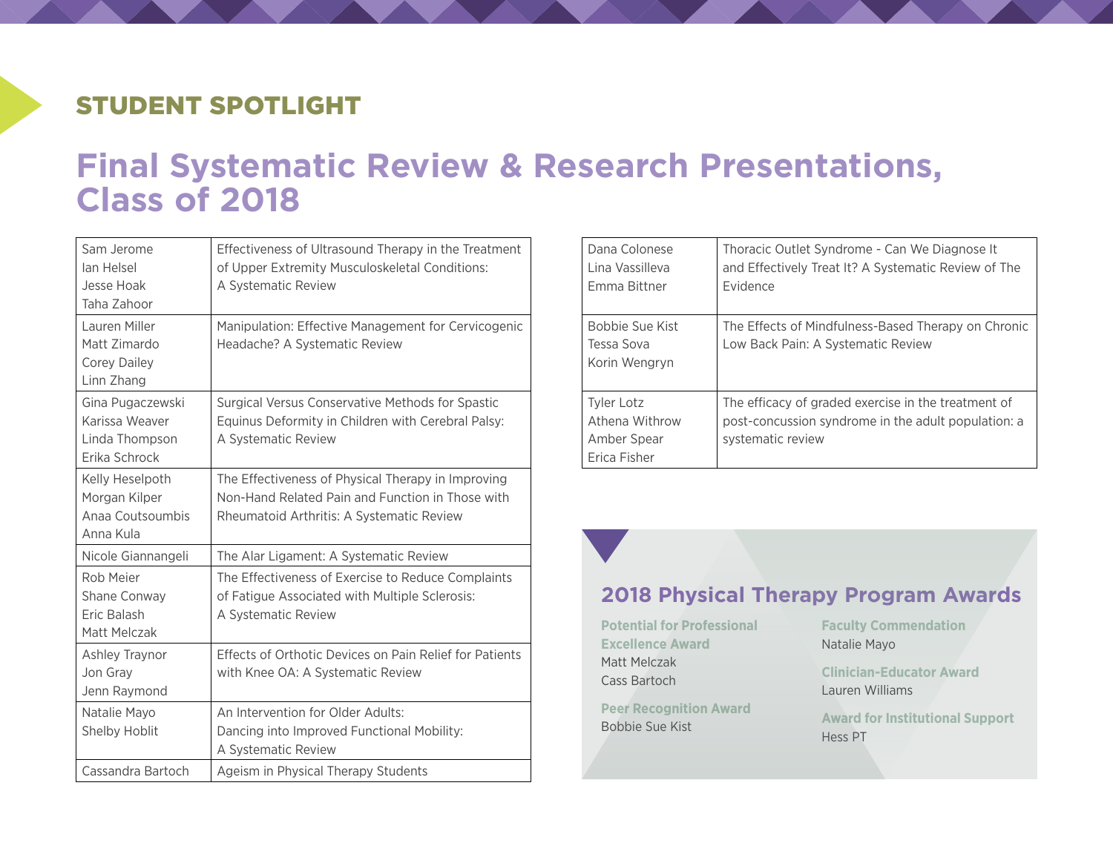## STUDENT SPOTLIGHT

# **Final Systematic Review & Research Presentations, Class of 2018**

| Sam Jerome<br>lan Helsel<br>Jesse Hoak<br>Taha Zahoor                 | Effectiveness of Ultrasound Therapy in the Treatment<br>of Upper Extremity Musculoskeletal Conditions:<br>A Systematic Review                       |
|-----------------------------------------------------------------------|-----------------------------------------------------------------------------------------------------------------------------------------------------|
| Lauren Miller<br>Matt Zimardo<br><b>Corey Dailey</b><br>Linn Zhang    | Manipulation: Effective Management for Cervicogenic<br>Headache? A Systematic Review                                                                |
| Gina Pugaczewski<br>Karissa Weaver<br>Linda Thompson<br>Erika Schrock | Surgical Versus Conservative Methods for Spastic<br>Equinus Deformity in Children with Cerebral Palsy:<br>A Systematic Review                       |
| Kelly Heselpoth<br>Morgan Kilper<br>Anaa Coutsoumbis<br>Anna Kula     | The Effectiveness of Physical Therapy in Improving<br>Non-Hand Related Pain and Function in Those with<br>Rheumatoid Arthritis: A Systematic Review |
| Nicole Giannangeli                                                    | The Alar Ligament: A Systematic Review                                                                                                              |
| Rob Meier<br>Shane Conway<br>Eric Balash<br>Matt Melczak              | The Effectiveness of Exercise to Reduce Complaints<br>of Fatigue Associated with Multiple Sclerosis:<br>A Systematic Review                         |
| Ashley Traynor<br>Jon Gray<br>Jenn Raymond                            | Effects of Orthotic Devices on Pain Relief for Patients<br>with Knee OA: A Systematic Review                                                        |
| Natalie Mayo<br>Shelby Hoblit                                         | An Intervention for Older Adults:<br>Dancing into Improved Functional Mobility:<br>A Systematic Review                                              |
| Cassandra Bartoch                                                     | Ageism in Physical Therapy Students                                                                                                                 |

| Dana Colonese<br>Lina Vassilleva<br><b>Emma Bittner</b>            | Thoracic Outlet Syndrome - Can We Diagnose It<br>and Effectively Treat It? A Systematic Review of The<br><b>Evidence</b>        |
|--------------------------------------------------------------------|---------------------------------------------------------------------------------------------------------------------------------|
| Bobbie Sue Kist<br>Tessa Sova<br>Korin Wengryn                     | The Effects of Mindfulness-Based Therapy on Chronic<br>Low Back Pain: A Systematic Review                                       |
| <b>Tyler Lotz</b><br>Athena Withrow<br>Amber Spear<br>Frica Fisher | The efficacy of graded exercise in the treatment of<br>post-concussion syndrome in the adult population: a<br>systematic review |

**2018 Physical Therapy Program Awards**

**Potential for Professional Excellence Award** Matt Melczak Cass Bartoch

**Peer Recognition Award** Bobbie Sue Kist

**Faculty Commendation** Natalie Mayo

**Clinician-Educator Award** Lauren Williams

**Award for Institutional Support** Hess PT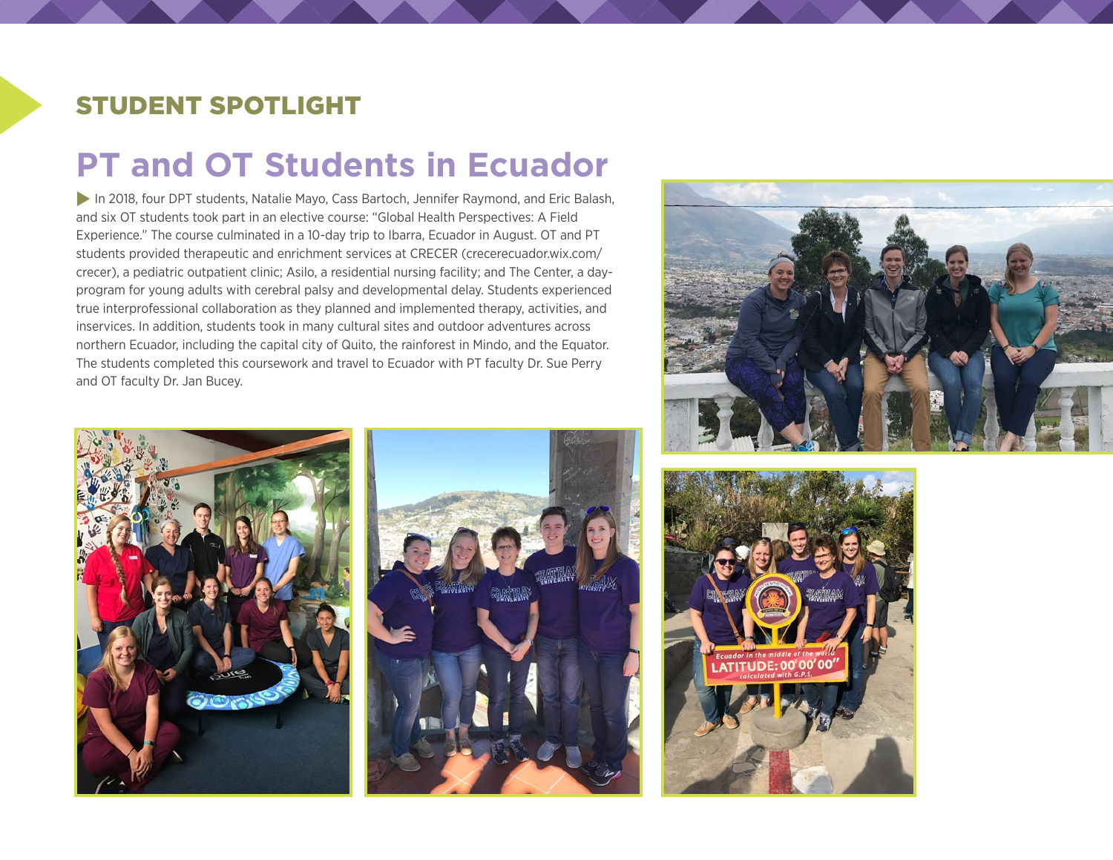### STUDENT SPOTLIGHT

# **PT and OT Students in Ecuador**

In 2018, four DPT students, Natalie Mayo, Cass Bartoch, Jennifer Raymond, and Eric Balash, and six OT students took part in an elective course: "Global Health Perspectives: A Field Experience." The course culminated in a 10-day trip to Ibarra, Ecuador in August. OT and PT students provided therapeutic and enrichment services at CRECER ([crecerecuador.wix.com/](http://crecerecuador.wix.com/crecer) [crecer](http://crecerecuador.wix.com/crecer)), a pediatric outpatient clinic; Asilo, a residential nursing facility; and The Center, a dayprogram for young adults with cerebral palsy and developmental delay. Students experienced true interprofessional collaboration as they planned and implemented therapy, activities, and inservices. In addition, students took in many cultural sites and outdoor adventures across northern Ecuador, including the capital city of Quito, the rainforest in Mindo, and the Equator. The students completed this coursework and travel to Ecuador with PT faculty Dr. Sue Perry and OT faculty Dr. Jan Bucey.







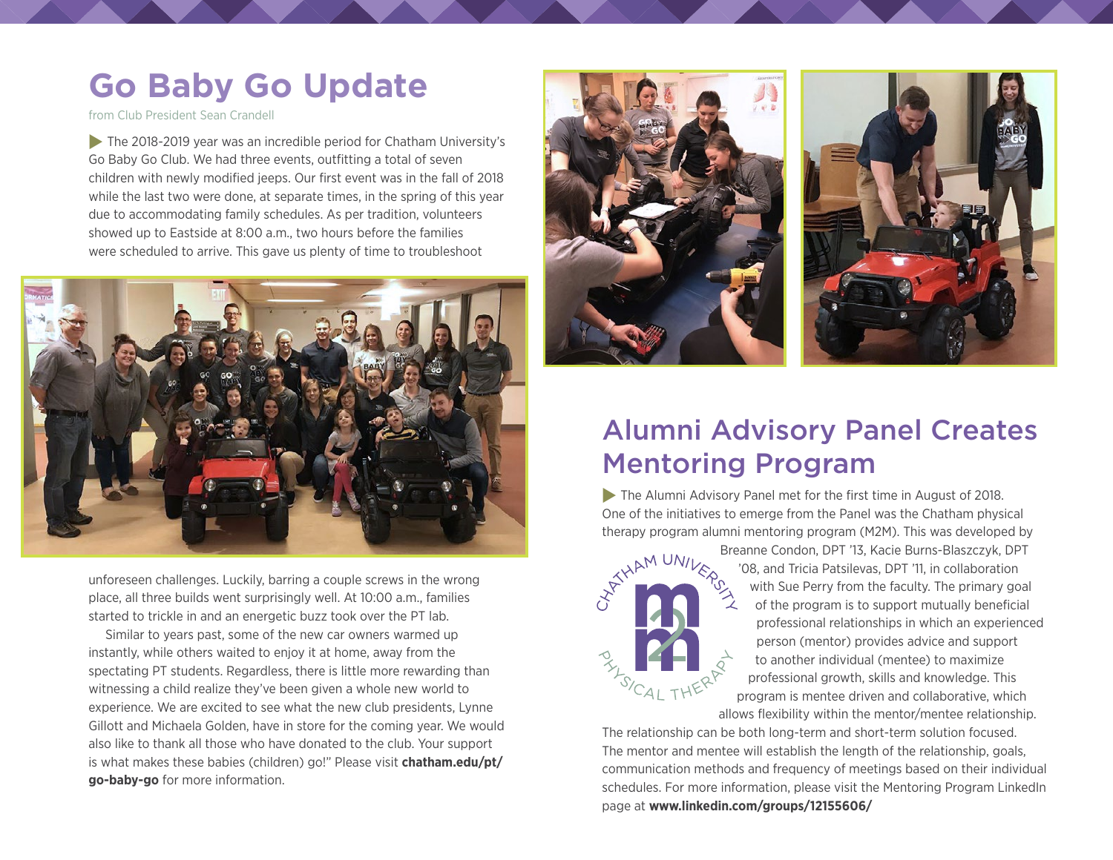# **Go Baby Go Update**

from Club President Sean Crandell

 $\blacktriangleright$  The 2018-2019 year was an incredible period for Chatham University's Go Baby Go Club. We had three events, outfitting a total of seven children with newly modified jeeps. Our first event was in the fall of 2018 while the last two were done, at separate times, in the spring of this year due to accommodating family schedules. As per tradition, volunteers showed up to Eastside at 8:00 a.m., two hours before the families were scheduled to arrive. This gave us plenty of time to troubleshoot



unforeseen challenges. Luckily, barring a couple screws in the wrong place, all three builds went surprisingly well. At 10:00 a.m., families started to trickle in and an energetic buzz took over the PT lab.

Similar to years past, some of the new car owners warmed up instantly, while others waited to enjoy it at home, away from the spectating PT students. Regardless, there is little more rewarding than witnessing a child realize they've been given a whole new world to experience. We are excited to see what the new club presidents, Lynne Gillott and Michaela Golden, have in store for the coming year. We would also like to thank all those who have donated to the club. Your support is what makes these babies (children) go!" Please visit **[chatham.edu/pt/](https://www.chatham.edu/pt/go-baby-go/) [go-baby-go](https://www.chatham.edu/pt/go-baby-go/)** for more information.





## Alumni Advisory Panel Creates Mentoring Program

 $\blacktriangleright$  The Alumni Advisory Panel met for the first time in August of 2018. One of the initiatives to emerge from the Panel was the Chatham physical therapy program alumni mentoring program (M2M). This was developed by



Breanne Condon, DPT '13, Kacie Burns-Blaszczyk, DPT '08, and Tricia Patsilevas, DPT '11, in collaboration with Sue Perry from the faculty. The primary goal of the program is to support mutually beneficial professional relationships in which an experienced person (mentor) provides advice and support to another individual (mentee) to maximize professional growth, skills and knowledge. This program is mentee driven and collaborative, which allows flexibility within the mentor/mentee relationship.

The relationship can be both long-term and short-term solution focused. The mentor and mentee will establish the length of the relationship, goals, communication methods and frequency of meetings based on their individual schedules. For more information, please visit the Mentoring Program LinkedIn page at **[www.linkedin.com/groups/12155606/](https://www.linkedin.com/groups/12155606/)**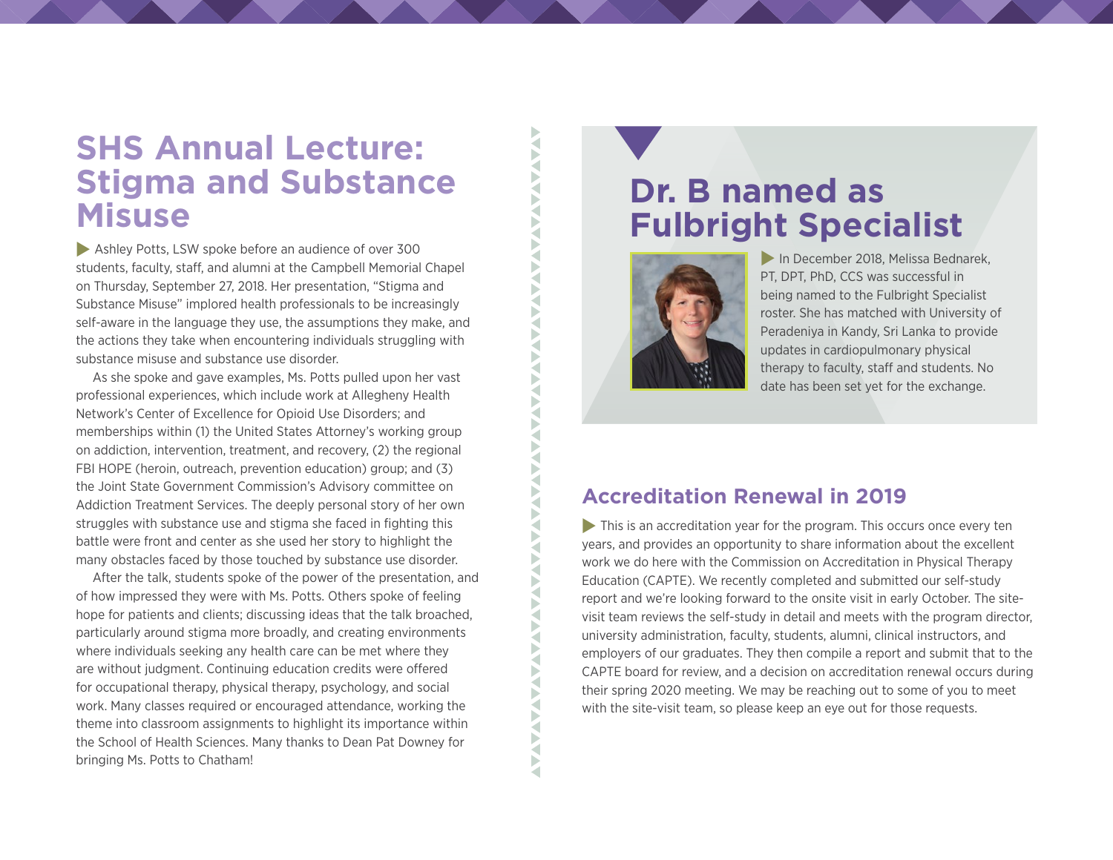## **SHS Annual Lecture: Stigma and Substance Misuse**

[Ashley Potts](https://projects.publicsource.org/pittsburgh-opioid-epidemic/ashley-potts.html), LSW spoke before an audience of over 300 students, faculty, staff, and alumni at the Campbell Memorial Chapel on Thursday, September 27, 2018. Her presentation, "Stigma and Substance Misuse" implored health professionals to be increasingly self-aware in the language they use, the assumptions they make, and the actions they take when encountering individuals struggling with substance misuse and substance use disorder.

As she spoke and gave examples, Ms. Potts pulled upon her vast professional experiences, which include work at Allegheny Health Network's Center of Excellence for Opioid Use Disorders; and memberships within (1) the United States Attorney's working group on addiction, intervention, treatment, and recovery, (2) the regional FBI HOPE (heroin, outreach, prevention education) group; and (3) the Joint State Government Commission's Advisory committee on Addiction Treatment Services. The deeply personal story of her own struggles with substance use and stigma she faced in fighting this battle were front and center as she used her story to highlight the many obstacles faced by those touched by substance use disorder.

After the talk, students spoke of the power of the presentation, and of how impressed they were with Ms. Potts. Others spoke of feeling hope for patients and clients; discussing ideas that the talk broached, particularly around stigma more broadly, and creating environments where individuals seeking any health care can be met where they are without judgment. Continuing education credits were offered for occupational therapy, physical therapy, psychology, and social work. Many classes required or encouraged attendance, working the theme into classroom assignments to highlight its importance within the School of Health Sciences. Many thanks to Dean Pat Downey for bringing Ms. Potts to Chatham!

## **Dr. B named as Fulbright Specialist**



**AVAVAL** 

F K Š Ş Ř Þ a ь a Þ ₹ a ◀ a

◀ ₹ Þ ₹ ◀ **AVA** ₹ F ₹ Б ₹ F ₹

**AVAVANAV** 

Б

In December 2018, Melissa Bednarek, PT, DPT, PhD, CCS was successful in being named to the Fulbright Specialist roster. She has matched with University of Peradeniya in Kandy, Sri Lanka to provide updates in cardiopulmonary physical therapy to faculty, staff and students. No date has been set yet for the exchange.

#### **Accreditation Renewal in 2019**

 $\blacktriangleright$  This is an accreditation year for the program. This occurs once every ten years, and provides an opportunity to share information about the excellent work we do here with the Commission on Accreditation in Physical Therapy Education (CAPTE). We recently completed and submitted our self-study report and we're looking forward to the onsite visit in early October. The sitevisit team reviews the self-study in detail and meets with the program director, university administration, faculty, students, alumni, clinical instructors, and employers of our graduates. They then compile a report and submit that to the CAPTE board for review, and a decision on accreditation renewal occurs during their spring 2020 meeting. We may be reaching out to some of you to meet with the site-visit team, so please keep an eye out for those requests.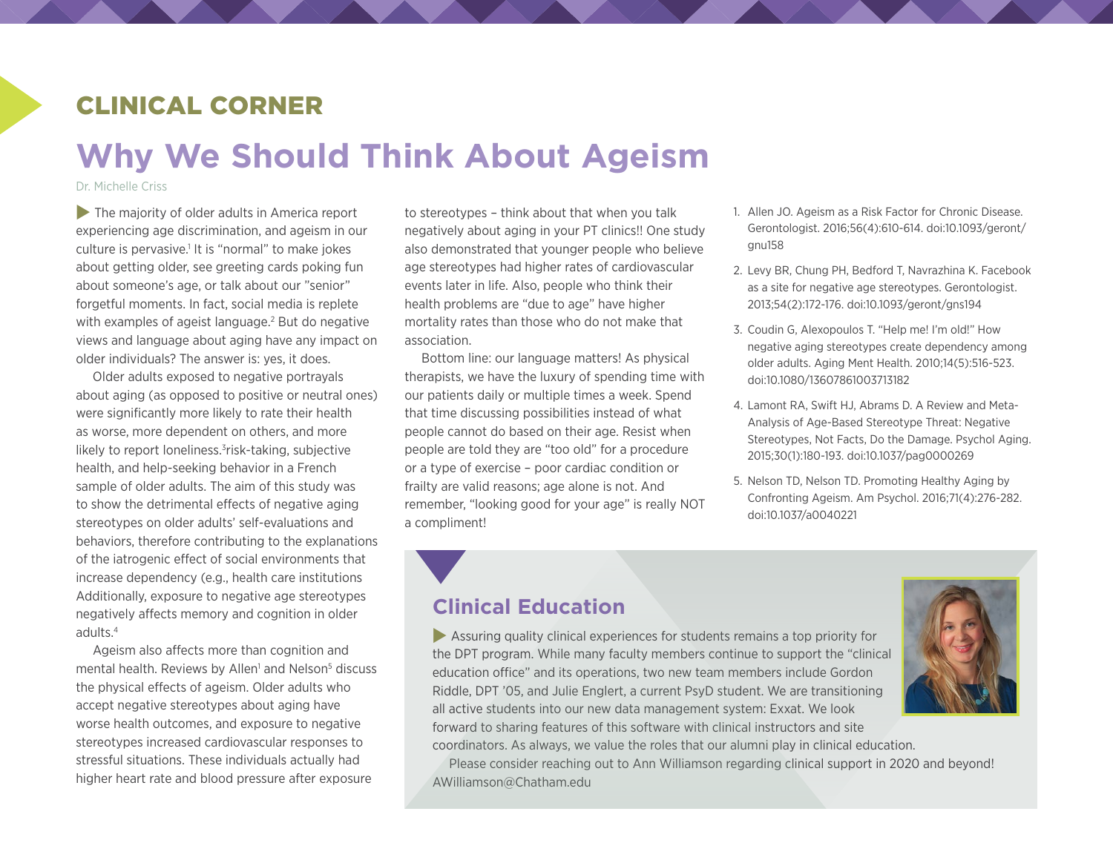### CLINICAL CORNER

# **Why We Should Think About Ageism**

Dr. Michelle Criss

 $\blacktriangleright$  The majority of older adults in America report experiencing age discrimination, and ageism in our culture is pervasive.<sup>1</sup> It is "normal" to make jokes about getting older, see greeting cards poking fun about someone's age, or talk about our "senior" forgetful moments. In fact, social media is replete with examples of ageist language.<sup>2</sup> But do negative views and language about aging have any impact on older individuals? The answer is: yes, it does.

Older adults exposed to negative portrayals about aging (as opposed to positive or neutral ones) were significantly more likely to rate their health as worse, more dependent on others, and more likely to report loneliness.<sup>3</sup>risk-taking, subjective health, and help-seeking behavior in a French sample of older adults. The aim of this study was to show the detrimental effects of negative aging stereotypes on older adults' self-evaluations and behaviors, therefore contributing to the explanations of the iatrogenic effect of social environments that increase dependency (e.g., health care institutions Additionally, exposure to negative age stereotypes negatively affects memory and cognition in older adults.4

Ageism also affects more than cognition and mental health. Reviews by Allen<sup>1</sup> and Nelson<sup>5</sup> discuss the physical effects of ageism. Older adults who accept negative stereotypes about aging have worse health outcomes, and exposure to negative stereotypes increased cardiovascular responses to stressful situations. These individuals actually had higher heart rate and blood pressure after exposure

to stereotypes – think about that when you talk negatively about aging in your PT clinics!! One study also demonstrated that younger people who believe age stereotypes had higher rates of cardiovascular events later in life. Also, people who think their health problems are "due to age" have higher mortality rates than those who do not make that association.

Bottom line: our language matters! As physical therapists, we have the luxury of spending time with our patients daily or multiple times a week. Spend that time discussing possibilities instead of what people cannot do based on their age. Resist when people are told they are "too old" for a procedure or a type of exercise – poor cardiac condition or frailty are valid reasons; age alone is not. And remember, "looking good for your age" is really NOT a compliment!

- 1. Allen JO. Ageism as a Risk Factor for Chronic Disease. Gerontologist. 2016;56(4):610-614. doi:10.1093/geront/ gnu158
- 2. Levy BR, Chung PH, Bedford T, Navrazhina K. Facebook as a site for negative age stereotypes. Gerontologist. 2013;54(2):172-176. doi:10.1093/geront/gns194
- 3. Coudin G, Alexopoulos T. "Help me! I'm old!" How negative aging stereotypes create dependency among older adults. Aging Ment Health. 2010;14(5):516-523. doi:10.1080/13607861003713182
- 4. Lamont RA, Swift HJ, Abrams D. A Review and Meta-Analysis of Age-Based Stereotype Threat: Negative Stereotypes, Not Facts, Do the Damage. Psychol Aging. 2015;30(1):180-193. doi:10.1037/pag0000269
- 5. Nelson TD, Nelson TD. Promoting Healthy Aging by Confronting Ageism. Am Psychol. 2016;71(4):276-282. doi:10.1037/a0040221

### **Clinical Education**



 $\blacktriangleright$  Assuring quality clinical experiences for students remains a top priority for the DPT program. While many faculty members continue to support the "clinical education office" and its operations, two new team members include Gordon Riddle, DPT '05, and Julie Englert, a current PsyD student. We are transitioning all active students into our new data management system: Exxat. We look forward to sharing features of this software with clinical instructors and site coordinators. As always, we value the roles that our alumni play in clinical education.

Please consider reaching out to Ann Williamson regarding clinical support in 2020 and beyond! [AWilliamson@Chatham.edu](mailto:AWilliamson@Chatham.edu)